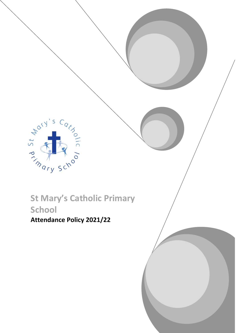**St Mary's Catholic Primary** 

# **School**

Advised on the Carpets

**Attendance Policy 2021/22**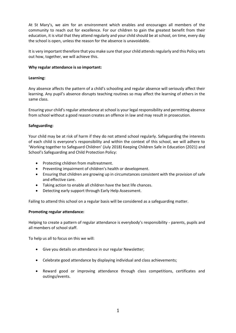At St Mary's, we aim for an environment which enables and encourages all members of the community to reach out for excellence. For our children to gain the greatest benefit from their education, it is vital that they attend regularly and your child should be at school, on time, every day the school is open, unless the reason for the absence is unavoidable.

It is very important therefore that you make sure that your child attends regularly and this Policy sets out how, together, we will achieve this.

#### **Why regular attendance is so important:**

## **Learning:**

Any absence affects the pattern of a child's schooling and regular absence will seriously affect their learning. Any pupil's absence disrupts teaching routines so may affect the learning of others in the same class.

Ensuring your child's regular attendance at school is your legal responsibility and permitting absence from school without a good reason creates an offence in law and may result in prosecution.

#### **Safeguarding:**

Your child may be at risk of harm if they do not attend school regularly. Safeguarding the interests of each child is everyone's responsibility and within the context of this school, we will adhere to 'Working together to Safeguard Children' (July 2018) Keeping Children Safe in Education (2021) and School's Safeguarding and Child Protection Policy:

- Protecting children from maltreatment.
- Preventing impairment of children's health or development.
- Ensuring that children are growing up in circumstances consistent with the provision of safe and effective care.
- Taking action to enable all children have the best life chances.
- Detecting early support through Early Help Assessment.

Failing to attend this school on a regular basis will be considered as a safeguarding matter.

#### **Promoting regular attendance:**

Helping to create a pattern of regular attendance is everybody's responsibility - parents, pupils and all members of school staff.

To help us all to focus on this we will:

- Give you details on attendance in our regular Newsletter;
- Celebrate good attendance by displaying individual and class achievements;
- Reward good or improving attendance through class competitions, certificates and outings/events.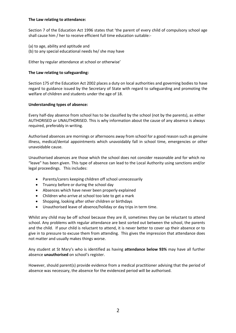## **The Law relating to attendance:**

Section 7 of the Education Act 1996 states that 'the parent of every child of compulsory school age shall cause him / her to receive efficient full time education suitable:-

- (a) to age, ability and aptitude and
- (b) to any special educational needs he/ she may have

Either by regular attendance at school or otherwise'

## **The Law relating to safeguarding:**

Section 175 of the Education Act 2002 places a duty on local authorities and governing bodies to have regard to guidance issued by the Secretary of State with regard to safeguarding and promoting the welfare of children and students under the age of 18.

## **Understanding types of absence:**

Every half-day absence from school has to be classified by the school (not by the parents), as either AUTHORISED or UNAUTHORISED. This is why information about the cause of any absence is always required, preferably in writing.

Authorised absences are mornings or afternoons away from school for a good reason such as genuine illness, medical/dental appointments which unavoidably fall in school time, emergencies or other unavoidable cause.

Unauthorised absences are those which the school does not consider reasonable and for which no "leave" has been given. This type of absence can lead to the Local Authority using sanctions and/or legal proceedings. This includes:

- Parents/carers keeping children off school unnecessarily
- Truancy before or during the school day
- Absences which have never been properly explained
- Children who arrive at school too late to get a mark
- Shopping, looking after other children or birthdays
- Unauthorised leave of absence/holiday or day trips in term time.

Whilst any child may be off school because they are ill, sometimes they can be reluctant to attend school. Any problems with regular attendance are best sorted out between the school, the parents and the child. If your child is reluctant to attend, it is never better to cover up their absence or to give in to pressure to excuse them from attending. This gives the impression that attendance does not matter and usually makes things worse.

Any student at St Mary's who is identified as having **attendance below 93%** may have all further absence **unauthorised** on school's register.

However, should parent(s) provide evidence from a medical practitioner advising that the period of absence was necessary, the absence for the evidenced period will be authorised.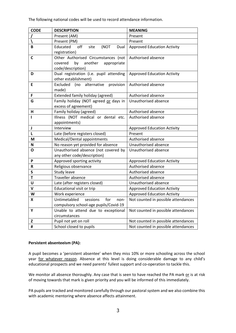The following national codes will be used to record attendance information.

| <b>CODE</b> | <b>DESCRIPTION</b>                                             | <b>MEANING</b>                      |
|-------------|----------------------------------------------------------------|-------------------------------------|
|             | Present (AM)                                                   | Present                             |
|             | Present (PM)                                                   | Present                             |
| B           | Educated<br>off<br>(NOT<br>site<br>Dual                        | <b>Approved Education Activity</b>  |
|             | registration)                                                  |                                     |
| C           | Other Authorised Circumstances (not                            | Authorised absence                  |
|             | another<br>covered<br>by<br>appropriate                        |                                     |
|             | code/description)                                              |                                     |
| D           | Dual registration (i.e. pupil attending                        | <b>Approved Education Activity</b>  |
|             | other establishment)                                           |                                     |
| Е           | alternative<br>Excluded<br>provision<br>(no                    | Authorised absence                  |
|             | made)                                                          |                                     |
| F           | Extended family holiday (agreed)                               | Authorised absence                  |
| G           | Family holiday (NOT agreed or days in                          | Unauthorised absence                |
|             | excess of agreement)                                           | Authorised absence                  |
| н<br>т      | Family holiday (agreed)<br>Illness (NOT medical or dental etc. | Authorised absence                  |
|             | appointments)                                                  |                                     |
| J           | Interview                                                      | <b>Approved Education Activity</b>  |
| L           | Late (before registers closed)                                 | Present                             |
| M           | Medical/Dental appointments                                    | Authorised absence                  |
| N           | No reason yet provided for absence                             | Unauthorised absence                |
| O           | Unauthorised absence (not covered by                           | Unauthorised absence                |
|             | any other code/description)                                    |                                     |
| P           | Approved sporting activity                                     | <b>Approved Education Activity</b>  |
| R           | Religious observance                                           | Authorised absence                  |
| S           | Study leave                                                    | Authorised absence                  |
| Т           | Traveller absence                                              | Authorised absence                  |
| U           | Late (after registers closed)                                  | Unauthorised absence                |
| V           | <b>Educational visit or trip</b>                               | <b>Approved Education Activity</b>  |
| W           | Work experience                                                | <b>Approved Education Activity</b>  |
| X           | Untimetabled<br>sessions<br>for<br>non-                        | Not counted in possible attendances |
|             | compulsory school-age pupils/Covid-19                          |                                     |
| Υ           | Unable to attend due to exceptional                            | Not counted in possible attendances |
|             | circumstances                                                  |                                     |
| Z           | Pupil not yet on roll                                          | Not counted in possible attendances |
| #           | School closed to pupils                                        | Not counted in possible attendances |

#### **Persistent absenteeism (PA):**

A pupil becomes a 'persistent absentee' when they miss 10% or more schooling across the school year for whatever reason. Absence at this level is doing considerable damage to any child's educational prospects and we need parents' fullest support and co-operation to tackle this.

We monitor all absence thoroughly. Any case that is seen to have reached the PA mark or is at risk of moving towards that mark is given priority and you will be informed of this immediately.

PA pupils are tracked and monitored carefully through our pastoral system and we also combine this with academic mentoring where absence affects attainment.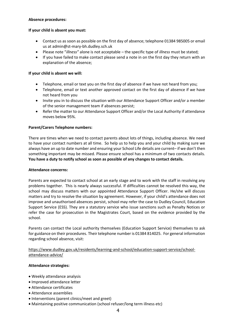## **Absence procedures:**

## **If your child is absent you must:**

- Contact us as soon as possible on the first day of absence; telephone 01384 985005 or email us at admin@st-mary-bh.dudley.sch.uk
- Please note "*illness"* alone is not acceptable the specific type of *illness* must be stated;
- If you have failed to make contact please send a note in on the first day they return with an explanation of the absence;

## **If your child is absent we will:**

- Telephone, email or text you on the first day of absence if we have not heard from you;
- Telephone, email or text another approved contact on the first day of absence if we have not heard from you
- Invite you in to discuss the situation with our Attendance Support Officer and/or a member of the senior management team if absences persist;
- Refer the matter to our Attendance Support Officer and/or the Local Authority if attendance moves below 95%.

## **Parent/Carers Telephone numbers:**

There are times when we need to contact parents about lots of things, including absence. We need to have your contact numbers at all time. So help us to help you and your child by making sure we always have an up to date number and ensuring your School Life details are current– if we don't then something important may be missed. Please ensure school has a minimum of two contacts details. **You have a duty to notify school as soon as possible of any changes to contact details.**

#### **Attendance concerns:**

Parents are expected to contact school at an early stage and to work with the staff in resolving any problems together. This is nearly always successful. If difficulties cannot be resolved this way, the school may discuss matters with our appointed Attendance Support Officer. He/she will discuss matters and try to resolve the situation by agreement. However, if your child's attendance does not improve and unauthorised absences persist, school may refer the case to Dudley Council, Education Support Service (ESS). They are a statutory service who issue sanctions such as Penalty Notices or refer the case for prosecution in the Magistrates Court, based on the evidence provided by the school.

Parents can contact the Local authority themselves (Education Support Service) themselves to ask for guidance on their procedures. Their telephone number is 01384 814025. For general information regarding school absence, visit:

## https://www.dudley.gov.uk/residents/learning-and-school/education-support-service/schoolattendance-advice/

#### **Attendance strategies:**

- Weekly attendance analysis
- Improved attendance letter
- Attendance certificates
- Attendance assemblies
- Interventions (parent clinics/meet and greet)
- Maintaining positive communication (school refuser/long term illness etc)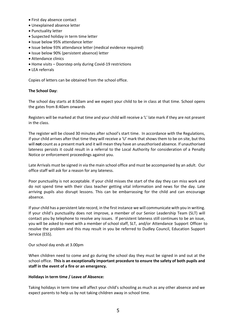- First day absence contact
- Unexplained absence letter
- Punctuality letter
- Suspected holiday in term time letter
- Issue below 95% attendance letter
- Issue below 93% attendance letter (medical evidence required)
- Issue below 90% (persistent absence) letter
- Attendance clinics
- Home visits Doorstep only during Covid-19 restrictions
- LEA referrals

Copies of letters can be obtained from the school office.

## **The School Day:**

The school day starts at 8:50am and we expect your child to be in class at that time. School opens the gates from 8:40am onwards

Registers will be marked at that time and your child will receive a 'L' late mark if they are not present in the class.

The register will be closed 30 minutes after school's start time. In accordance with the Regulations, if your child arrives after that time they will receive a 'U' mark that shows them to be on site, but this will **not** count as a present mark and it will mean they have an unauthorised absence. If unauthorised lateness persists it could result in a referral to the Local Authority for consideration of a Penalty Notice or enforcement proceedings against you.

Late Arrivals must be signed in via the main school office and must be accompanied by an adult. Our office staff will ask for a reason for any lateness.

Poor punctuality is not acceptable. If your child misses the start of the day they can miss work and do not spend time with their class teacher getting vital information and news for the day. Late arriving pupils also disrupt lessons. This can be embarrassing for the child and can encourage absence.

If your child has a persistent late record, in the first instance we will communicate with you in writing. If your child's punctuality does not improve, a member of our Senior Leadership Team (SLT) will contact you by telephone to resolve any issues. If persistent lateness still continues to be an issue, you will be asked to meet with a member of school staff, SLT, and/or Attendance Support Officer to resolve the problem and this may result in you be referred to Dudley Council, Education Support Service (ESS).

#### Our school day ends at 3.00pm

When children need to come and go during the school day they must be signed in and out at the school office. **This is an exceptionally important procedure to ensure the safety of both pupils and staff in the event of a fire or an emergency.**

#### **Holidays in term time / Leave of Absence:**

Taking holidays in term time will affect your child's schooling as much as any other absence and we expect parents to help us by not taking children away in school time.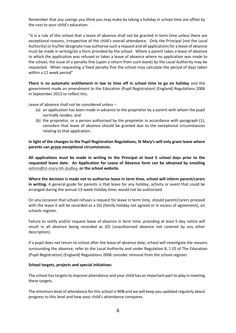Remember that any savings you think you may make by taking a holiday in school time are offset by the cost to your child's education.

"It is a rule of this school that a leave of absence shall not be granted in term time unless there are exceptional reasons, irrespective of the child's overall attendance. Only the Principal (not the Local Authority) or his/her designate may authorise such a request and all applications for a leave of absence must be made in writing/on a form provided by the school. Where a parent takes a leave of absence to which the application was refused or takes a leave of absence where no application was made to the school, the issue of a penalty fine (upon a return from such leave) by the Local Authority may be requested. When requesting a fixed penalty fine the school may calculate the period of days taken within a 12 week period"

**There is no automatic entitlement in law to time off in school time to go on holiday** and the government made an amendment to the Education (Pupil Registration) (England) Regulations 2006 in September 2013 to reflect this.

Leave of absence shall not be considered unless –

- (a) an application has been made in advance to the proprietor by a parent with whom the pupil normally resides: and
- (b) the proprietor, or a person authorised by the proprietor in accordance with paragraph (1), considers that leave of absence should be granted due to the exceptional circumstances relating to that application.

**In light of the changes to the Pupil Registration Regulations, St Mary's will only grant leave where parents can prove exceptional circumstances.**

**All applications must be made in writing to the Principal at least 5 school days prior to the requested leave date. An Application for Leave of Absence form can be obtained by emailing [admin@st-mary-bh.dudley,](mailto:admin@st-mary-bh.dudley) or the school website.**

**Where the decision is made not to authorise leave in term time, school will inform parent/carers in writing.** A general guide for parents is that leave for any holiday, activity or event that could be arranged during the annual 13-week holiday time, would not be authorised.

On any occasion that school refuses a request for leave in term time, should parent/carers proceed with the leave it will be recorded as a (G) (family holiday not agreed or in excess of agreement), on schools register.

Failure to notify and/or request leave of absence in term time, providing at least 5-day notice will result in all absence being recorded as (O) (unauthorised absence not covered by any other description).

If a pupil does not return to school after the leave of absence date, school will investigate the reasons surrounding the absence, refer to the Local Authority and under Regulation 8, 1 (f) of The Education (Pupil Registration) (England) Regulations 2006 consider removal from the school register.

#### **School targets, projects and special initiatives:**

The school has targets to improve attendance and your child has an important part to play in meeting these targets.

The minimum level of attendance for this school is 96**%** and we will keep you updated regularly about progress to this level and how your child's attendance compares.